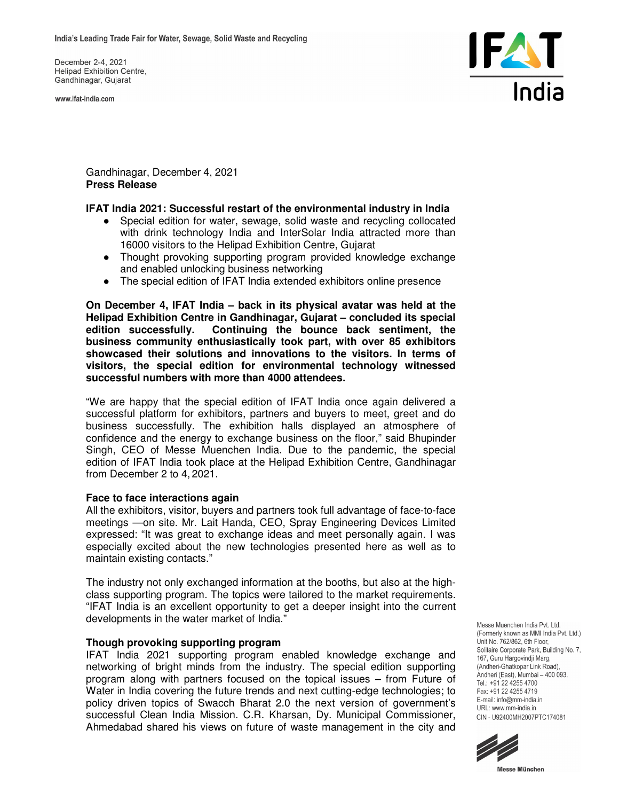December 2-4, 2021 **Helipad Exhibition Centre.** Gandhinagar, Gujarat

www.ifat-india.com



Gandhinagar, December 4, 2021 **Press Release** 

### **IFAT India 2021: Successful restart of the environmental industry in India**

- Special edition for water, sewage, solid waste and recycling collocated with drink technology India and InterSolar India attracted more than 16000 visitors to the Helipad Exhibition Centre, Gujarat
- Thought provoking supporting program provided knowledge exchange and enabled unlocking business networking
- The special edition of IFAT India extended exhibitors online presence

**On December 4, IFAT India – back in its physical avatar was held at the Helipad Exhibition Centre in Gandhinagar, Gujarat – concluded its special edition successfully. Continuing the bounce back sentiment, the business community enthusiastically took part, with over 85 exhibitors showcased their solutions and innovations to the visitors. In terms of visitors, the special edition for environmental technology witnessed successful numbers with more than 4000 attendees.** 

"We are happy that the special edition of IFAT India once again delivered a successful platform for exhibitors, partners and buyers to meet, greet and do business successfully. The exhibition halls displayed an atmosphere of confidence and the energy to exchange business on the floor," said Bhupinder Singh, CEO of Messe Muenchen India. Due to the pandemic, the special edition of IFAT India took place at the Helipad Exhibition Centre, Gandhinagar from December 2 to 4, 2021.

### **Face to face interactions again**

All the exhibitors, visitor, buyers and partners took full advantage of face-to-face meetings —on site. Mr. Lait Handa, CEO, Spray Engineering Devices Limited expressed: "It was great to exchange ideas and meet personally again. I was especially excited about the new technologies presented here as well as to maintain existing contacts."

The industry not only exchanged information at the booths, but also at the highclass supporting program. The topics were tailored to the market requirements. "IFAT India is an excellent opportunity to get a deeper insight into the current developments in the water market of India.'

### **Though provoking supporting program**

IFAT India 2021 supporting program enabled knowledge exchange and networking of bright minds from the industry. The special edition supporting program along with partners focused on the topical issues – from Future of Water in India covering the future trends and next cutting-edge technologies; to policy driven topics of Swacch Bharat 2.0 the next version of government's successful Clean India Mission. C.R. Kharsan, Dy. Municipal Commissioner, Ahmedabad shared his views on future of waste management in the city and Messe Muenchen India Pvt. Ltd. (Formerly known as MMI India Pvt. Ltd.) Unit No. 762/862, 6th Floor, Solitaire Corporate Park, Building No. 7, 167, Guru Hargovindji Marg, (Andheri-Ghatkopar Link Road) Andheri (East), Mumbai - 400 093. Tel.: +91 22 4255 4700 Fax: +91 22 4255 4719 E-mail: info@mm-india.in URL: www.mm-india.in CIN - U92400MH2007PTC174081